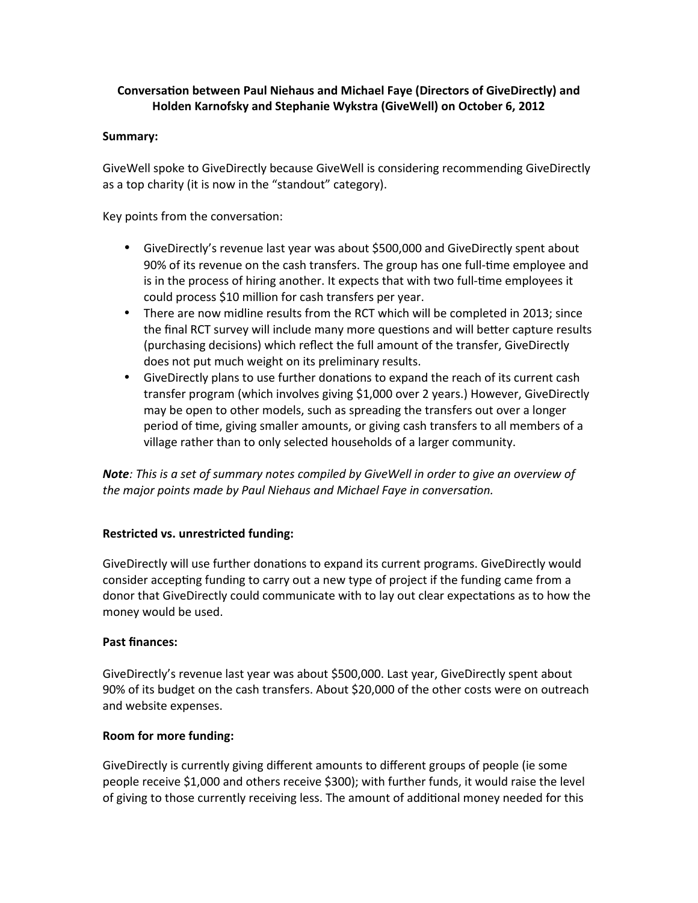# **Conversation between Paul Niehaus and Michael Faye (Directors of GiveDirectly) and Holden Karnofsky and Stephanie Wykstra (GiveWell) on October 6, 2012**

### **Summary:**

GiveWell spoke to GiveDirectly because GiveWell is considering recommending GiveDirectly as a top charity (it is now in the "standout" category).

Key points from the conversation:

- GiveDirectly's revenue last year was about \$500,000 and GiveDirectly spent about 90% of its revenue on the cash transfers. The group has one full-time employee and is in the process of hiring another. It expects that with two full-time employees it could process \$10 million for cash transfers per year.
- There are now midline results from the RCT which will be completed in 2013; since the final RCT survey will include many more questions and will better capture results (purchasing decisions) which reflect the full amount of the transfer, GiveDirectly does not put much weight on its preliminary results.
- GiveDirectly plans to use further donations to expand the reach of its current cash transfer program (which involves giving \$1,000 over 2 years.) However, GiveDirectly may be open to other models, such as spreading the transfers out over a longer period of time, giving smaller amounts, or giving cash transfers to all members of a village rather than to only selected households of a larger community.

*Note: This is a set of summary notes compiled by GiveWell in order to give an overview of the major points made by Paul Niehaus and Michael Faye in conversation.*

# **Restricted vs. unrestricted funding:**

GiveDirectly will use further donations to expand its current programs. GiveDirectly would consider accepting funding to carry out a new type of project if the funding came from a donor that GiveDirectly could communicate with to lay out clear expectations as to how the money would be used.

### **Past finances:**

GiveDirectly's revenue last year was about \$500,000. Last year, GiveDirectly spent about 90% of its budget on the cash transfers. About \$20,000 of the other costs were on outreach and website expenses.

### **Room for more funding:**

GiveDirectly is currently giving different amounts to different groups of people (ie some people receive \$1,000 and others receive \$300); with further funds, it would raise the level of giving to those currently receiving less. The amount of additional money needed for this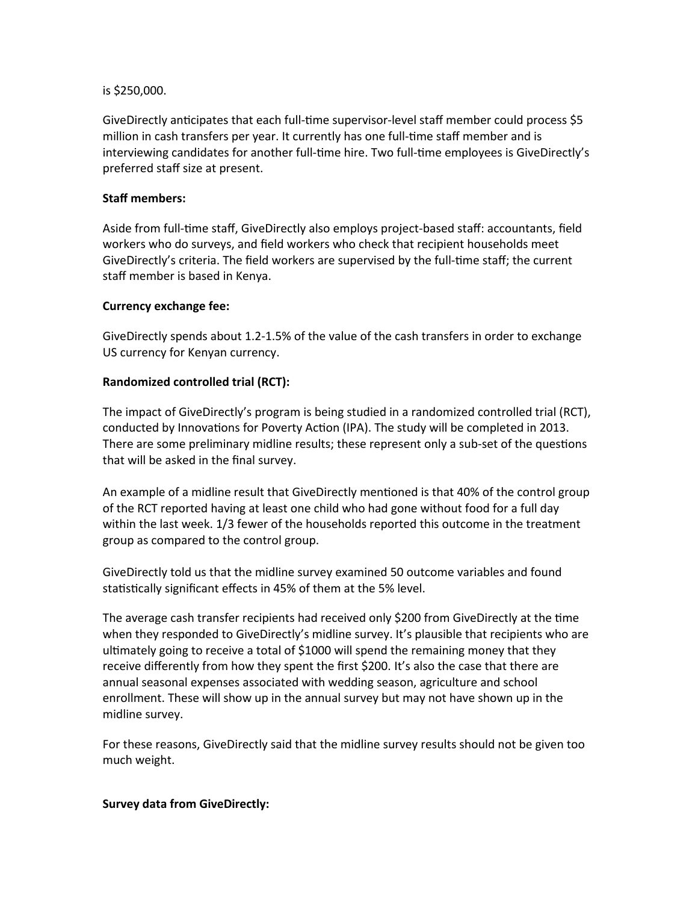### is \$250,000.

GiveDirectly anticipates that each full-time supervisor-level staff member could process \$5 million in cash transfers per year. It currently has one full-time staff member and is interviewing candidates for another full-time hire. Two full-time employees is GiveDirectly's preferred staff size at present.

# **Staff members:**

Aside from full-time staff, GiveDirectly also employs project-based staff: accountants, field workers who do surveys, and field workers who check that recipient households meet GiveDirectly's criteria. The field workers are supervised by the full-time staff; the current staff member is based in Kenya.

### **Currency exchange fee:**

GiveDirectly spends about 1.2-1.5% of the value of the cash transfers in order to exchange US currency for Kenyan currency.

### **Randomized controlled trial (RCT):**

The impact of GiveDirectly's program is being studied in a randomized controlled trial (RCT), conducted by Innovations for Poverty Action (IPA). The study will be completed in 2013. There are some preliminary midline results; these represent only a sub-set of the questions that will be asked in the final survey.

An example of a midline result that GiveDirectly mentioned is that 40% of the control group of the RCT reported having at least one child who had gone without food for a full day within the last week. 1/3 fewer of the households reported this outcome in the treatment group as compared to the control group.

GiveDirectly told us that the midline survey examined 50 outcome variables and found statistically significant effects in 45% of them at the 5% level.

The average cash transfer recipients had received only \$200 from GiveDirectly at the time when they responded to GiveDirectly's midline survey. It's plausible that recipients who are ultimately going to receive a total of \$1000 will spend the remaining money that they receive differently from how they spent the first \$200. It's also the case that there are annual seasonal expenses associated with wedding season, agriculture and school enrollment. These will show up in the annual survey but may not have shown up in the midline survey.

For these reasons, GiveDirectly said that the midline survey results should not be given too much weight.

### **Survey data from GiveDirectly:**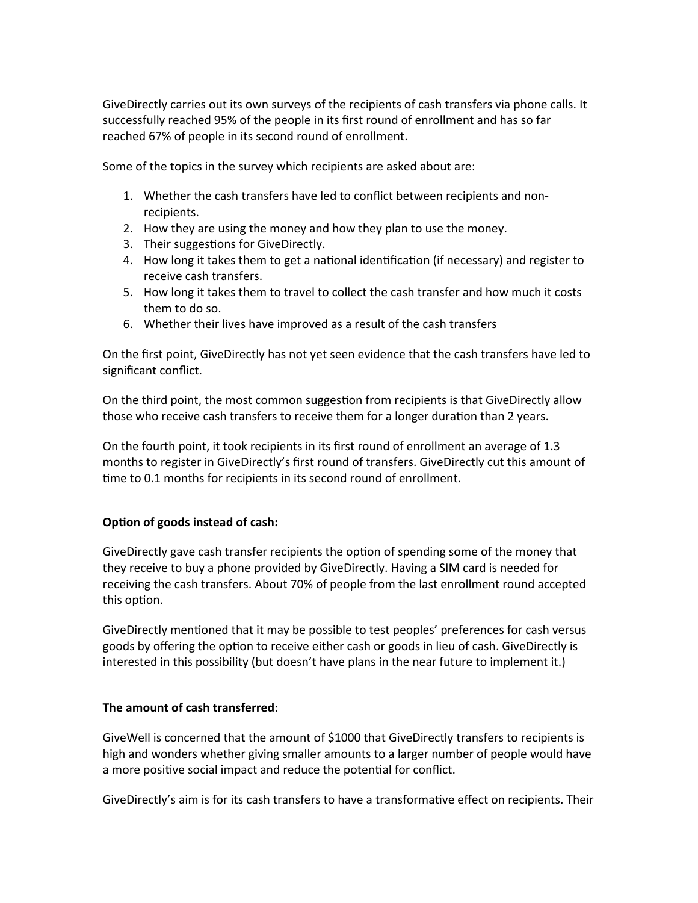GiveDirectly carries out its own surveys of the recipients of cash transfers via phone calls. It successfully reached 95% of the people in its first round of enrollment and has so far reached 67% of people in its second round of enrollment.

Some of the topics in the survey which recipients are asked about are:

- 1. Whether the cash transfers have led to conflict between recipients and nonrecipients.
- 2. How they are using the money and how they plan to use the money.
- 3. Their suggestions for GiveDirectly.
- 4. How long it takes them to get a national identification (if necessary) and register to receive cash transfers.
- 5. How long it takes them to travel to collect the cash transfer and how much it costs them to do so.
- 6. Whether their lives have improved as a result of the cash transfers

On the first point, GiveDirectly has not yet seen evidence that the cash transfers have led to significant conflict.

On the third point, the most common suggestion from recipients is that GiveDirectly allow those who receive cash transfers to receive them for a longer duration than 2 years.

On the fourth point, it took recipients in its first round of enrollment an average of 1.3 months to register in GiveDirectly's first round of transfers. GiveDirectly cut this amount of time to 0.1 months for recipients in its second round of enrollment.

# **Option of goods instead of cash:**

GiveDirectly gave cash transfer recipients the option of spending some of the money that they receive to buy a phone provided by GiveDirectly. Having a SIM card is needed for receiving the cash transfers. About 70% of people from the last enrollment round accepted this option.

GiveDirectly mentioned that it may be possible to test peoples' preferences for cash versus goods by offering the option to receive either cash or goods in lieu of cash. GiveDirectly is interested in this possibility (but doesn't have plans in the near future to implement it.)

# **The amount of cash transferred:**

GiveWell is concerned that the amount of \$1000 that GiveDirectly transfers to recipients is high and wonders whether giving smaller amounts to a larger number of people would have a more positive social impact and reduce the potential for conflict.

GiveDirectly's aim is for its cash transfers to have a transformative effect on recipients. Their